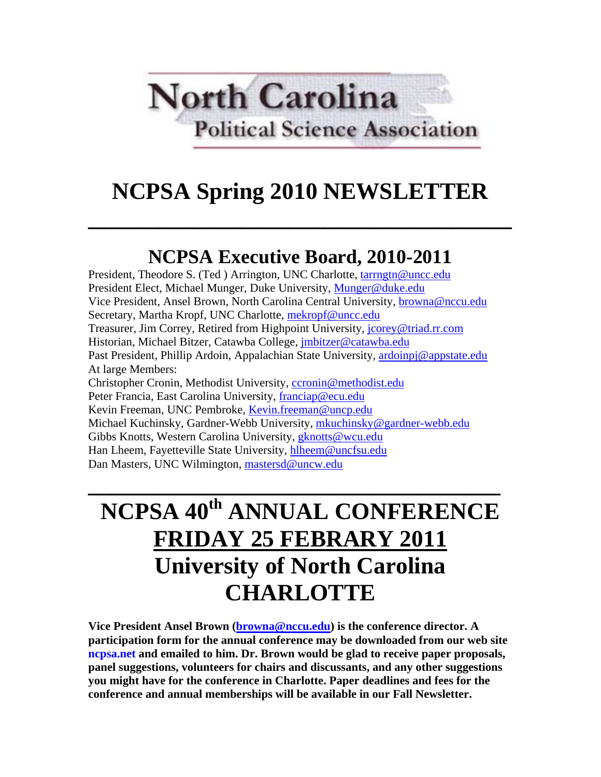# **North Carolina Political Science Association**

## **NCPSA Spring 2010 NEWSLETTER**

**\_\_\_\_\_\_\_\_\_\_\_\_\_\_\_\_\_\_\_\_\_\_\_\_\_\_\_\_\_\_\_\_\_\_\_\_** 

## **NCPSA Executive Board, 2010-2011**

President, Theodore S. (Ted ) Arrington, UNC Charlotte, tarrngtn@uncc.edu President Elect, Michael Munger, Duke University, Munger@duke.edu Vice President, Ansel Brown, North Carolina Central University, browna@nccu.edu Secretary, Martha Kropf, UNC Charlotte, mekropf@uncc.edu Treasurer, Jim Correy, Retired from Highpoint University, jcorey@triad.rr.com Historian, Michael Bitzer, Catawba College, jmbitzer@catawba.edu Past President, Phillip Ardoin, Appalachian State University, ardoinpj@appstate.edu At large Members: Christopher Cronin, Methodist University, ccronin@methodist.edu Peter Francia, East Carolina University, franciap@ecu.edu Kevin Freeman, UNC Pembroke, Kevin.freeman@uncp.edu Michael Kuchinsky, Gardner-Webb University, mkuchinsky@gardner-webb.edu Gibbs Knotts, Western Carolina University, *gknotts@wcu.edu* Han Lheem, Fayetteville State University, hlheem@uncfsu.edu Dan Masters, UNC Wilmington, mastersd@uncw.edu

## **NCPSA 40th ANNUAL CONFERENCE FRIDAY 25 FEBRARY 2011 University of North Carolina CHARLOTTE**

**\_\_\_\_\_\_\_\_\_\_\_\_\_\_\_\_\_\_\_\_\_\_\_\_\_\_\_\_\_\_\_\_\_\_\_** 

**Vice President Ansel Brown (browna@nccu.edu) is the conference director. A participation form for the annual conference may be downloaded from our web site ncpsa.net and emailed to him. Dr. Brown would be glad to receive paper proposals, panel suggestions, volunteers for chairs and discussants, and any other suggestions you might have for the conference in Charlotte. Paper deadlines and fees for the conference and annual memberships will be available in our Fall Newsletter.**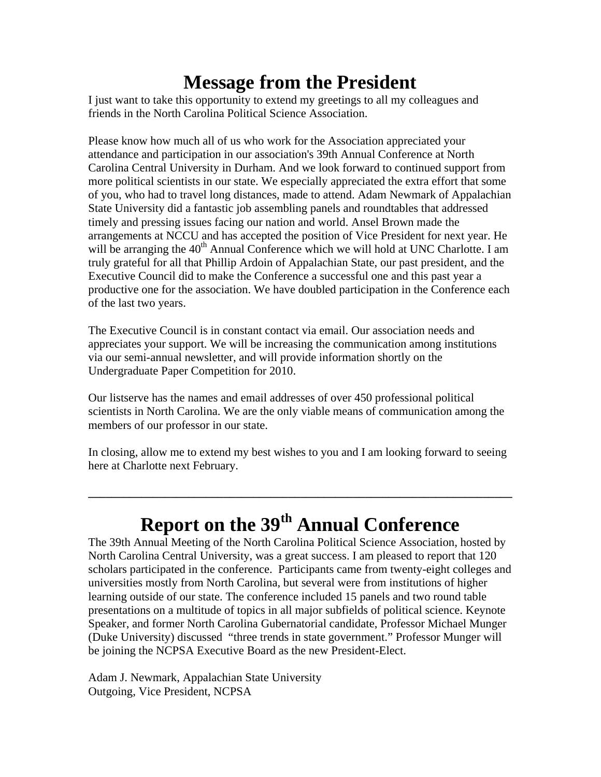### **Message from the President**

I just want to take this opportunity to extend my greetings to all my colleagues and friends in the North Carolina Political Science Association.

Please know how much all of us who work for the Association appreciated your attendance and participation in our association's 39th Annual Conference at North Carolina Central University in Durham. And we look forward to continued support from more political scientists in our state. We especially appreciated the extra effort that some of you, who had to travel long distances, made to attend. Adam Newmark of Appalachian State University did a fantastic job assembling panels and roundtables that addressed timely and pressing issues facing our nation and world. Ansel Brown made the arrangements at NCCU and has accepted the position of Vice President for next year. He will be arranging the 40<sup>th</sup> Annual Conference which we will hold at UNC Charlotte. I am truly grateful for all that Phillip Ardoin of Appalachian State, our past president, and the Executive Council did to make the Conference a successful one and this past year a productive one for the association. We have doubled participation in the Conference each of the last two years.

The Executive Council is in constant contact via email. Our association needs and appreciates your support. We will be increasing the communication among institutions via our semi-annual newsletter, and will provide information shortly on the Undergraduate Paper Competition for 2010.

Our listserve has the names and email addresses of over 450 professional political scientists in North Carolina. We are the only viable means of communication among the members of our professor in our state.

In closing, allow me to extend my best wishes to you and I am looking forward to seeing here at Charlotte next February.

## **Report on the 39th Annual Conference**

**\_\_\_\_\_\_\_\_\_\_\_\_\_\_\_\_\_\_\_\_\_\_\_\_\_\_\_\_\_\_\_\_\_\_\_\_\_\_\_\_\_\_\_\_\_\_\_\_\_\_\_\_\_\_\_\_\_\_\_\_\_\_\_\_\_\_\_\_\_\_\_\_** 

The 39th Annual Meeting of the North Carolina Political Science Association, hosted by North Carolina Central University, was a great success. I am pleased to report that 120 scholars participated in the conference. Participants came from twenty-eight colleges and universities mostly from North Carolina, but several were from institutions of higher learning outside of our state. The conference included 15 panels and two round table presentations on a multitude of topics in all major subfields of political science. Keynote Speaker, and former North Carolina Gubernatorial candidate, Professor Michael Munger (Duke University) discussed "three trends in state government." Professor Munger will be joining the NCPSA Executive Board as the new President-Elect.

Adam J. Newmark, Appalachian State University Outgoing, Vice President, NCPSA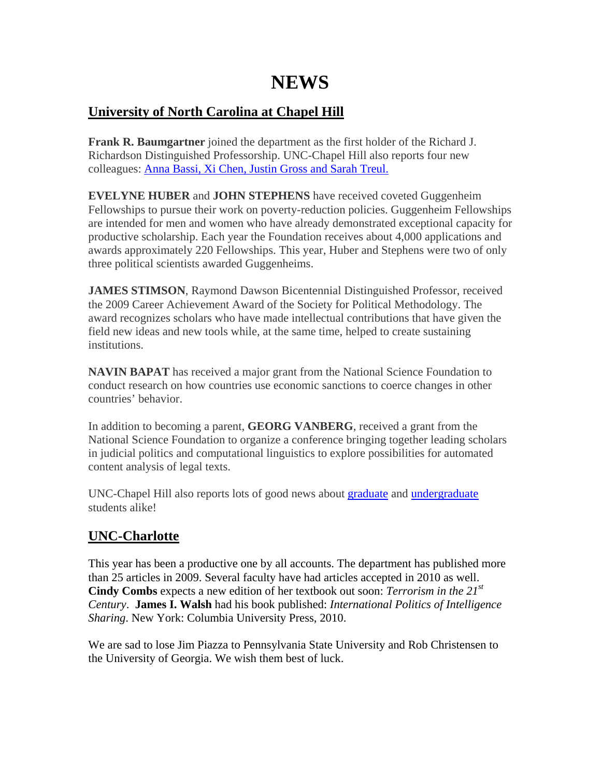### **NEWS**

#### **University of North Carolina at Chapel Hill**

**Frank R. Baumgartner** joined the department as the first holder of the Richard J. Richardson Distinguished Professorship. UNC-Chapel Hill also reports four new colleagues: Anna Bassi, Xi Chen, Justin Gross and Sarah Treul.

**EVELYNE HUBER** and **JOHN STEPHENS** have received coveted Guggenheim Fellowships to pursue their work on poverty-reduction policies. Guggenheim Fellowships are intended for men and women who have already demonstrated exceptional capacity for productive scholarship. Each year the Foundation receives about 4,000 applications and awards approximately 220 Fellowships. This year, Huber and Stephens were two of only three political scientists awarded Guggenheims.

**JAMES STIMSON**, Raymond Dawson Bicentennial Distinguished Professor, received the 2009 Career Achievement Award of the Society for Political Methodology. The award recognizes scholars who have made intellectual contributions that have given the field new ideas and new tools while, at the same time, helped to create sustaining institutions.

**NAVIN BAPAT** has received a major grant from the National Science Foundation to conduct research on how countries use economic sanctions to coerce changes in other countries' behavior.

In addition to becoming a parent, **GEORG VANBERG**, received a grant from the National Science Foundation to organize a conference bringing together leading scholars in judicial politics and computational linguistics to explore possibilities for automated content analysis of legal texts.

UNC-Chapel Hill also reports lots of good news about graduate and undergraduate students alike!

#### **UNC-Charlotte**

This year has been a productive one by all accounts. The department has published more than 25 articles in 2009. Several faculty have had articles accepted in 2010 as well. **Cindy Combs** expects a new edition of her textbook out soon: *Terrorism in the 21st Century*. **James I. Walsh** had his book published: *International Politics of Intelligence Sharing*. New York: Columbia University Press, 2010.

We are sad to lose Jim Piazza to Pennsylvania State University and Rob Christensen to the University of Georgia. We wish them best of luck.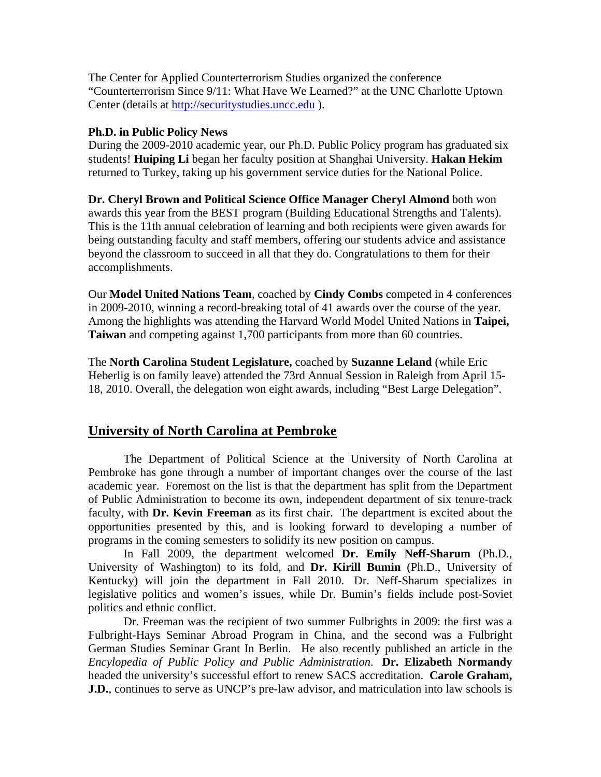The Center for Applied Counterterrorism Studies organized the conference "Counterterrorism Since 9/11: What Have We Learned?" at the UNC Charlotte Uptown Center (details at http://securitystudies.uncc.edu ).

#### **Ph.D. in Public Policy News**

During the 2009-2010 academic year, our Ph.D. Public Policy program has graduated six students! **Huiping Li** began her faculty position at Shanghai University. **Hakan Hekim**  returned to Turkey, taking up his government service duties for the National Police.

**Dr. Cheryl Brown and Political Science Office Manager Cheryl Almond** both won awards this year from the BEST program (Building Educational Strengths and Talents). This is the 11th annual celebration of learning and both recipients were given awards for being outstanding faculty and staff members, offering our students advice and assistance beyond the classroom to succeed in all that they do. Congratulations to them for their accomplishments.

Our **Model United Nations Team**, coached by **Cindy Combs** competed in 4 conferences in 2009-2010, winning a record-breaking total of 41 awards over the course of the year. Among the highlights was attending the Harvard World Model United Nations in **Taipei, Taiwan** and competing against 1,700 participants from more than 60 countries.

The **North Carolina Student Legislature,** coached by **Suzanne Leland** (while Eric Heberlig is on family leave) attended the 73rd Annual Session in Raleigh from April 15- 18, 2010. Overall, the delegation won eight awards, including "Best Large Delegation".

#### **University of North Carolina at Pembroke**

The Department of Political Science at the University of North Carolina at Pembroke has gone through a number of important changes over the course of the last academic year. Foremost on the list is that the department has split from the Department of Public Administration to become its own, independent department of six tenure-track faculty, with **Dr. Kevin Freeman** as its first chair. The department is excited about the opportunities presented by this, and is looking forward to developing a number of programs in the coming semesters to solidify its new position on campus.

In Fall 2009, the department welcomed **Dr. Emily Neff-Sharum** (Ph.D., University of Washington) to its fold, and **Dr. Kirill Bumin** (Ph.D., University of Kentucky) will join the department in Fall 2010. Dr. Neff-Sharum specializes in legislative politics and women's issues, while Dr. Bumin's fields include post-Soviet politics and ethnic conflict.

Dr. Freeman was the recipient of two summer Fulbrights in 2009: the first was a Fulbright-Hays Seminar Abroad Program in China, and the second was a Fulbright German Studies Seminar Grant In Berlin. He also recently published an article in the *Encylopedia of Public Policy and Public Administration*. **Dr. Elizabeth Normandy**  headed the university's successful effort to renew SACS accreditation. **Carole Graham, J.D.**, continues to serve as UNCP's pre-law advisor, and matriculation into law schools is